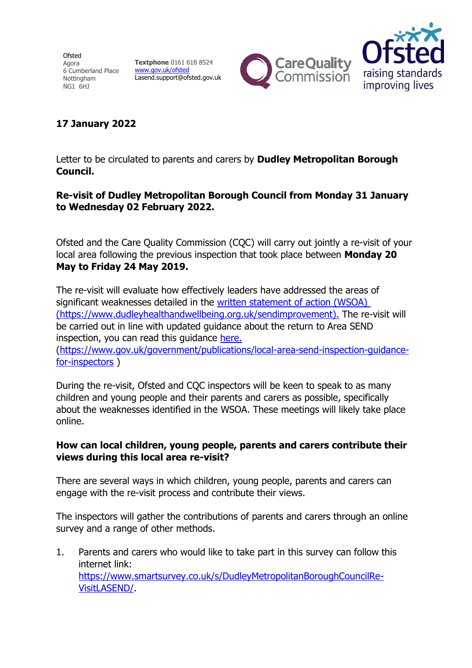**Ofsted** Agora 6 Cumberland Place Nottingham NG1 6HJ

**Textphone** 0161 618 8524 [www.gov.uk/ofsted](https://www.gov.uk/government/organisations/ofsted) Lasend.support@ofsted.gov.uk





## **17 January 2022**

Letter to be circulated to parents and carers by **Dudley Metropolitan Borough Council.**

## **Re-visit of Dudley Metropolitan Borough Council from Monday 31 January to Wednesday 02 February 2022.**

Ofsted and the Care Quality Commission (CQC) will carry out jointly a re-visit of your local area following the previous inspection that took place between **Monday 20 May to Friday 24 May 2019.**

The re-visit will evaluate how effectively leaders have addressed the areas of significant weaknesses detailed in the [written statement of action \(WSOA\)](file://///dudley.gov.uk/filestore/Childrens%20Services/Shared/SEND%20Improvement%20Programme/G_Stakeholders%20and%20Comms/Ofsted/written%20statement%20of%20action%20(WSOA)%20(https:/www.dudleyhealthandwellbeing.org.uk/sendimprovement).)  [\(https://www.dudleyhealthandwellbeing.org.uk/sendimprovement\).](file://///dudley.gov.uk/filestore/Childrens%20Services/Shared/SEND%20Improvement%20Programme/G_Stakeholders%20and%20Comms/Ofsted/written%20statement%20of%20action%20(WSOA)%20(https:/www.dudleyhealthandwellbeing.org.uk/sendimprovement).) The re-visit will be carried out in line with updated guidance about the return to Area SEND inspection, you can read this guidance [here.](https://www.gov.uk/government/publications/local-area-send-inspection-guidance-for-inspectors)

[\(https://www.gov.uk/government/publications/local-area-send-inspection-guidance](https://www.gov.uk/government/publications/local-area-send-inspection-guidance-for-inspectors)[for-inspectors](https://www.gov.uk/government/publications/local-area-send-inspection-guidance-for-inspectors) )

During the re-visit, Ofsted and CQC inspectors will be keen to speak to as many children and young people and their parents and carers as possible, specifically about the weaknesses identified in the WSOA. These meetings will likely take place online.

## **How can local children, young people, parents and carers contribute their views during this local area re-visit?**

There are several ways in which children, young people, parents and carers can engage with the re-visit process and contribute their views.

The inspectors will gather the contributions of parents and carers through an online survey and a range of other methods.

1. Parents and carers who would like to take part in this survey can follow this internet link: [https://www.smartsurvey.co.uk/s/DudleyMetropolitanBoroughCouncilRe-](https://www.smartsurvey.co.uk/s/DudleyMetropolitanBoroughCouncilRe-VisitLASEND/)[VisitLASEND/.](https://www.smartsurvey.co.uk/s/DudleyMetropolitanBoroughCouncilRe-VisitLASEND/)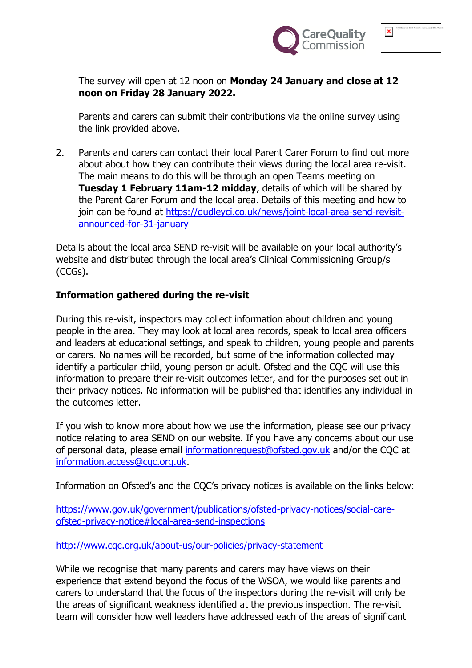

The survey will open at 12 noon on **Monday 24 January and close at 12 noon on Friday 28 January 2022.**

Parents and carers can submit their contributions via the online survey using the link provided above.

2. Parents and carers can contact their local Parent Carer Forum to find out more about about how they can contribute their views during the local area re-visit. The main means to do this will be through an open Teams meeting on **Tuesday 1 February 11am-12 midday**, details of which will be shared by the Parent Carer Forum and the local area. Details of this meeting and how to join can be found at [https://dudleyci.co.uk/news/joint-local-area-send-revisit](https://dudleyci.co.uk/news/joint-local-area-send-revisit-announced-for-31-january)[announced-for-31-january](https://dudleyci.co.uk/news/joint-local-area-send-revisit-announced-for-31-january)

Details about the local area SEND re-visit will be available on your local authority's website and distributed through the local area's Clinical Commissioning Group/s (CCGs).

## **Information gathered during the re-visit**

During this re-visit, inspectors may collect information about children and young people in the area. They may look at local area records, speak to local area officers and leaders at educational settings, and speak to children, young people and parents or carers. No names will be recorded, but some of the information collected may identify a particular child, young person or adult. Ofsted and the COC will use this information to prepare their re-visit outcomes letter, and for the purposes set out in their privacy notices. No information will be published that identifies any individual in the outcomes letter.

If you wish to know more about how we use the information, please see our privacy notice relating to area SEND on our website. If you have any concerns about our use of personal data, please email [informationrequest@ofsted.gov.uk](mailto:informationrequest@ofsted.gov.uk) and/or the CQC at [information.access@cqc.org.uk.](mailto:information.access@cqc.org.uk)

Information on Ofsted's and the CQC's privacy notices is available on the links below:

[https://www.gov.uk/government/publications/ofsted-privacy-notices/social-care](https://www.gov.uk/government/publications/ofsted-privacy-notices/social-care-ofsted-privacy-notice#local-area-send-inspections)[ofsted-privacy-notice#local-area-send-inspections](https://www.gov.uk/government/publications/ofsted-privacy-notices/social-care-ofsted-privacy-notice#local-area-send-inspections)

<http://www.cqc.org.uk/about-us/our-policies/privacy-statement>

While we recognise that many parents and carers may have views on their experience that extend beyond the focus of the WSOA, we would like parents and carers to understand that the focus of the inspectors during the re-visit will only be the areas of significant weakness identified at the previous inspection. The re-visit team will consider how well leaders have addressed each of the areas of significant